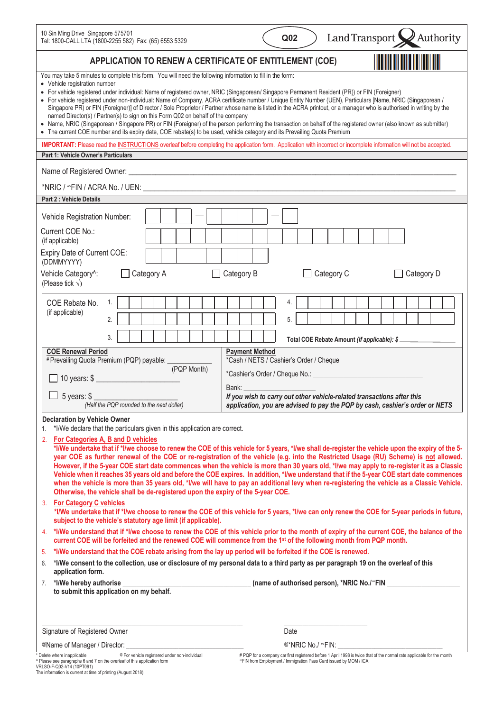| 10 Sin Ming Drive Singapore 575701<br>Tel: 1800-CALL LTA (1800-2255 582) Fax: (65) 6553 5329                                                                                                                                                                                                                                                                                                                                                                                                                                                                                                                                                                                                                                                                                                                                                                                                                                                                                                                                | Land Transport X Authority<br>Q <sub>02</sub>                                                                                                                       |  |  |  |
|-----------------------------------------------------------------------------------------------------------------------------------------------------------------------------------------------------------------------------------------------------------------------------------------------------------------------------------------------------------------------------------------------------------------------------------------------------------------------------------------------------------------------------------------------------------------------------------------------------------------------------------------------------------------------------------------------------------------------------------------------------------------------------------------------------------------------------------------------------------------------------------------------------------------------------------------------------------------------------------------------------------------------------|---------------------------------------------------------------------------------------------------------------------------------------------------------------------|--|--|--|
| APPLICATION TO RENEW A CERTIFICATE OF ENTITLEMENT (COE)                                                                                                                                                                                                                                                                                                                                                                                                                                                                                                                                                                                                                                                                                                                                                                                                                                                                                                                                                                     |                                                                                                                                                                     |  |  |  |
| You may take 5 minutes to complete this form. You will need the following information to fill in the form:<br>• Vehicle registration number<br>· For vehicle registered under individual: Name of registered owner, NRIC (Singaporean/ Singapore Permanent Resident (PR)) or FIN (Foreigner)<br>• For vehicle registered under non-individual: Name of Company, ACRA certificate number / Unique Entity Number (UEN), Particulars [Name, NRIC (Singaporean /<br>Singapore PR) or FIN (Foreigner)] of Director / Sole Proprietor / Partner whose name is listed in the ACRA printout, or a manager who is authorised in writing by the<br>named Director(s) / Partner(s) to sign on this Form Q02 on behalf of the company<br>• Name, NRIC (Singaporean / Singapore PR) or FIN (Foreigner) of the person performing the transaction on behalf of the registered owner (also known as submitter)<br>• The current COE number and its expiry date, COE rebate(s) to be used, vehicle category and its Prevailing Quota Premium |                                                                                                                                                                     |  |  |  |
| <b>Part 1: Vehicle Owner's Particulars</b>                                                                                                                                                                                                                                                                                                                                                                                                                                                                                                                                                                                                                                                                                                                                                                                                                                                                                                                                                                                  | IMPORTANT: Please read the INSTRUCTIONS overleaf before completing the application form. Application with incorrect or incomplete information will not be accepted. |  |  |  |
|                                                                                                                                                                                                                                                                                                                                                                                                                                                                                                                                                                                                                                                                                                                                                                                                                                                                                                                                                                                                                             |                                                                                                                                                                     |  |  |  |
|                                                                                                                                                                                                                                                                                                                                                                                                                                                                                                                                                                                                                                                                                                                                                                                                                                                                                                                                                                                                                             |                                                                                                                                                                     |  |  |  |
| Part 2 : Vehicle Details                                                                                                                                                                                                                                                                                                                                                                                                                                                                                                                                                                                                                                                                                                                                                                                                                                                                                                                                                                                                    |                                                                                                                                                                     |  |  |  |
| Vehicle Registration Number:                                                                                                                                                                                                                                                                                                                                                                                                                                                                                                                                                                                                                                                                                                                                                                                                                                                                                                                                                                                                |                                                                                                                                                                     |  |  |  |
| Current COE No.:<br>(if applicable)                                                                                                                                                                                                                                                                                                                                                                                                                                                                                                                                                                                                                                                                                                                                                                                                                                                                                                                                                                                         |                                                                                                                                                                     |  |  |  |
| Expiry Date of Current COE:<br>(DDMMYYYY)                                                                                                                                                                                                                                                                                                                                                                                                                                                                                                                                                                                                                                                                                                                                                                                                                                                                                                                                                                                   |                                                                                                                                                                     |  |  |  |
| Vehicle Category <sup>^</sup> :<br>Category A<br>$\perp$<br>(Please tick $\sqrt{}$ )                                                                                                                                                                                                                                                                                                                                                                                                                                                                                                                                                                                                                                                                                                                                                                                                                                                                                                                                        | Category C<br>Category B<br>Category D                                                                                                                              |  |  |  |
| 1.<br>COE Rebate No.<br>(if applicable)<br>2.<br>3.                                                                                                                                                                                                                                                                                                                                                                                                                                                                                                                                                                                                                                                                                                                                                                                                                                                                                                                                                                         | 4.<br>5.<br>Total COE Rebate Amount (if applicable): \$                                                                                                             |  |  |  |
| <b>COE Renewal Period</b><br># Prevailing Quota Premium (PQP) payable: ___________                                                                                                                                                                                                                                                                                                                                                                                                                                                                                                                                                                                                                                                                                                                                                                                                                                                                                                                                          | <b>Payment Method</b><br>*Cash / NETS / Cashier's Order / Cheque                                                                                                    |  |  |  |
| (PQP Month)<br>10 years: \$                                                                                                                                                                                                                                                                                                                                                                                                                                                                                                                                                                                                                                                                                                                                                                                                                                                                                                                                                                                                 |                                                                                                                                                                     |  |  |  |
|                                                                                                                                                                                                                                                                                                                                                                                                                                                                                                                                                                                                                                                                                                                                                                                                                                                                                                                                                                                                                             | Bank:                                                                                                                                                               |  |  |  |
| $\Box$ 5 years: \$<br>(Half the PQP rounded to the next dollar)                                                                                                                                                                                                                                                                                                                                                                                                                                                                                                                                                                                                                                                                                                                                                                                                                                                                                                                                                             | If you wish to carry out other vehicle-related transactions after this<br>application, you are advised to pay the PQP by cash, cashier's order or NETS              |  |  |  |
| <b>Declaration by Vehicle Owner</b><br>*I/We declare that the particulars given in this application are correct.<br>1.                                                                                                                                                                                                                                                                                                                                                                                                                                                                                                                                                                                                                                                                                                                                                                                                                                                                                                      |                                                                                                                                                                     |  |  |  |
| For Categories A, B and D vehicles<br>2.<br>*I/We undertake that if *I/we choose to renew the COE of this vehicle for 5 years, *I/we shall de-register the vehicle upon the expiry of the 5-<br>year COE as further renewal of the COE or re-registration of the vehicle (e.g. into the Restricted Usage (RU) Scheme) is not allowed.<br>However, if the 5-year COE start date commences when the vehicle is more than 30 years old, *I/we may apply to re-register it as a Classic<br>Vehicle when it reaches 35 years old and before the COE expires. In addition, *I/we understand that if the 5-year COE start date commences<br>when the vehicle is more than 35 years old, *I/we will have to pay an additional levy when re-registering the vehicle as a Classic Vehicle.<br>Otherwise, the vehicle shall be de-registered upon the expiry of the 5-year COE.                                                                                                                                                        |                                                                                                                                                                     |  |  |  |
| 3. For Category C vehicles<br>subject to the vehicle's statutory age limit (if applicable).                                                                                                                                                                                                                                                                                                                                                                                                                                                                                                                                                                                                                                                                                                                                                                                                                                                                                                                                 | *I/We undertake that if *I/we choose to renew the COE of this vehicle for 5 years, *I/we can only renew the COE for 5-year periods in future,                       |  |  |  |
| *I/We understand that if *I/we choose to renew the COE of this vehicle prior to the month of expiry of the current COE, the balance of the<br>4.<br>current COE will be forfeited and the renewed COE will commence from the 1st of the following month from PQP month.                                                                                                                                                                                                                                                                                                                                                                                                                                                                                                                                                                                                                                                                                                                                                     |                                                                                                                                                                     |  |  |  |
| *I/We understand that the COE rebate arising from the lay up period will be forfeited if the COE is renewed.<br>5.                                                                                                                                                                                                                                                                                                                                                                                                                                                                                                                                                                                                                                                                                                                                                                                                                                                                                                          |                                                                                                                                                                     |  |  |  |
| *I/We consent to the collection, use or disclosure of my personal data to a third party as per paragraph 19 on the overleaf of this<br>6.<br>application form.                                                                                                                                                                                                                                                                                                                                                                                                                                                                                                                                                                                                                                                                                                                                                                                                                                                              |                                                                                                                                                                     |  |  |  |
| *I/We hereby authorise _______<br>(name of authorised person), *NRIC No./*FIN<br>7.<br>to submit this application on my behalf.                                                                                                                                                                                                                                                                                                                                                                                                                                                                                                                                                                                                                                                                                                                                                                                                                                                                                             |                                                                                                                                                                     |  |  |  |
|                                                                                                                                                                                                                                                                                                                                                                                                                                                                                                                                                                                                                                                                                                                                                                                                                                                                                                                                                                                                                             |                                                                                                                                                                     |  |  |  |
| Signature of Registered Owner                                                                                                                                                                                                                                                                                                                                                                                                                                                                                                                                                                                                                                                                                                                                                                                                                                                                                                                                                                                               | Date                                                                                                                                                                |  |  |  |
| @Name of Manager / Director: _<br>Delete where inapplicable<br>® For vehicle registered under non-individual                                                                                                                                                                                                                                                                                                                                                                                                                                                                                                                                                                                                                                                                                                                                                                                                                                                                                                                | $@^*NRIC$ No./ $^{\circ}FIN:$<br># PQP for a company car first registered before 1 April 1998 is twice that of the normal rate applicable for the month             |  |  |  |
| Please see paragraphs 6 and 7 on the overleaf of this application form<br>VRLSO-F-Q02-V14 (10PT091)                                                                                                                                                                                                                                                                                                                                                                                                                                                                                                                                                                                                                                                                                                                                                                                                                                                                                                                         | "FIN from Employment / Immigration Pass Card issued by MOM / ICA                                                                                                    |  |  |  |

VRLSO-F-Q02-V14 (10PT091) The information is current at time of printing (August 2018)